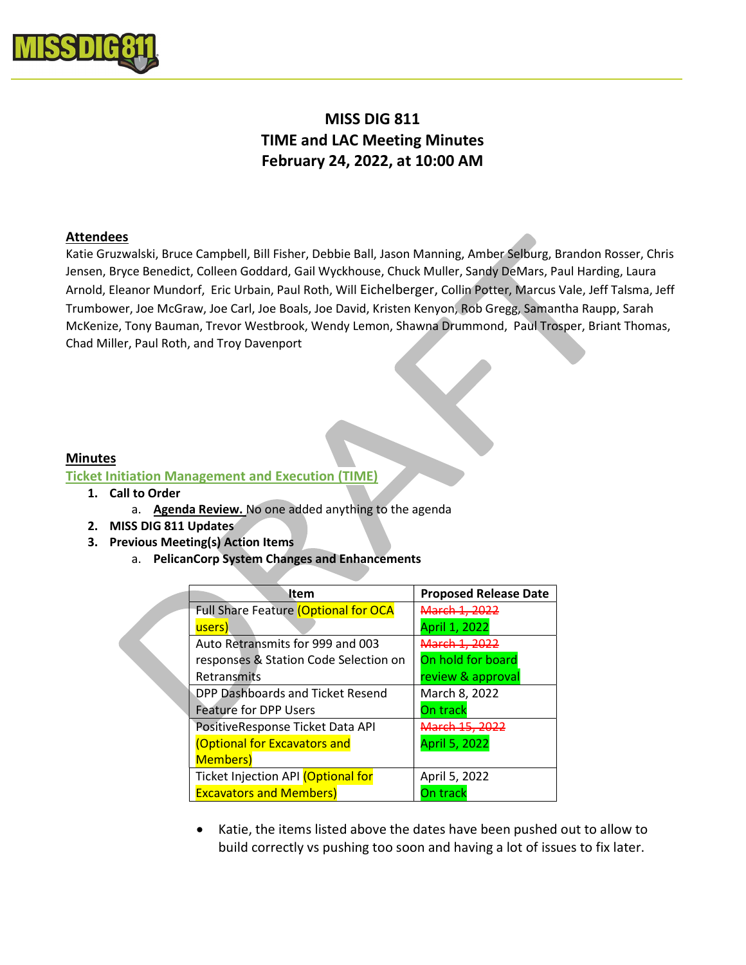

# MISS DIG 811 TIME and LAC Meeting Minutes February 24, 2022, at 10:00 AM

## Attendees

Katie Gruzwalski, Bruce Campbell, Bill Fisher, Debbie Ball, Jason Manning, Amber Selburg, Brandon Rosser, Chris Jensen, Bryce Benedict, Colleen Goddard, Gail Wyckhouse, Chuck Muller, Sandy DeMars, Paul Harding, Laura Arnold, Eleanor Mundorf, Eric Urbain, Paul Roth, Will Eichelberger, Collin Potter, Marcus Vale, Jeff Talsma, Jeff Trumbower, Joe McGraw, Joe Carl, Joe Boals, Joe David, Kristen Kenyon, Rob Gregg, Samantha Raupp, Sarah McKenize, Tony Bauman, Trevor Westbrook, Wendy Lemon, Shawna Drummond, Paul Trosper, Briant Thomas, Chad Miller, Paul Roth, and Troy Davenport

## Minutes

## Ticket Initiation Management and Execution (TIME)

- 1. Call to Order
	- a. Agenda Review. No one added anything to the agenda
- 2. MISS DIG 811 Updates
- 3. Previous Meeting(s) Action Items
	- a. PelicanCorp System Changes and Enhancements

| ltem                                        | <b>Proposed Release Date</b> |
|---------------------------------------------|------------------------------|
| <b>Full Share Feature (Optional for OCA</b> | <del>March 1. 202.</del>     |
| users)                                      | April 1, 2022                |
| Auto Retransmits for 999 and 003            | <del>March 1, 2022</del>     |
| responses & Station Code Selection on       | On hold for board            |
| Retransmits                                 | review & approval            |
| DPP Dashboards and Ticket Resend            | March 8, 2022                |
| <b>Feature for DPP Users</b>                | On track                     |
| PositiveResponse Ticket Data API            | March 15, 2022               |
| <b>(Optional for Excavators and</b>         | April 5, 2022                |
| <b>Members</b> )                            |                              |
| Ticket Injection API (Optional for          | April 5, 2022                |
| <b>Excavators and Members)</b>              | On track                     |

 Katie, the items listed above the dates have been pushed out to allow to build correctly vs pushing too soon and having a lot of issues to fix later.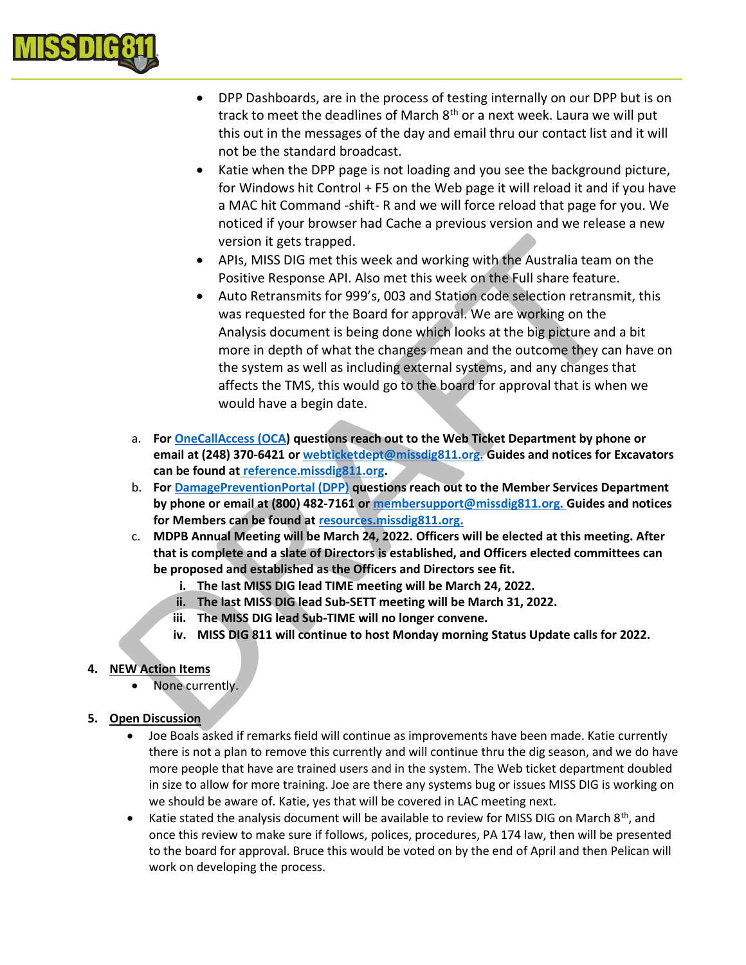

- DPP Dashboards, are in the process of testing internally on our DPP but is on track to meet the deadlines of March 8<sup>th</sup> or a next week. Laura we will put this out in the messages of the day and email thru our contact list and it will not be the standard broadcast.
- Katie when the DPP page is not loading and you see the background picture, for Windows hit Control + F5 on the Web page it will reload it and if you have a MAC hit Command -shift- R and we will force reload that page for you. We noticed if your browser had Cache a previous version and we release a new version it gets trapped.
- APIs, MISS DIG met this week and working with the Australia team on the Positive Response API. Also met this week on the Full share feature.
- Auto Retransmits for 999's, 003 and Station code selection retransmit, this was requested for the Board for approval. We are working on the Analysis document is being done which looks at the big picture and a bit more in depth of what the changes mean and the outcome they can have on the system as well as including external systems, and any changes that affects the TMS, this would go to the board for approval that is when we would have a begin date.
- a. For OneCallAccess (OCA) questions reach out to the Web Ticket Department by phone or email at (248) 370-6421 or webticketdept@missdig811.org. Guides and notices for Excavators can be found at reference.missdig811.org.
- b. For DamagePreventionPortal (DPP) questions reach out to the Member Services Department by phone or email at (800) 482-7161 or membersupport@missdig811.org. Guides and notices for Members can be found at resources.missdig811.org.
- c. MDPB Annual Meeting will be March 24, 2022. Officers will be elected at this meeting. After that is complete and a slate of Directors is established, and Officers elected committees can be proposed and established as the Officers and Directors see fit.
	- i. The last MISS DIG lead TIME meeting will be March 24, 2022.
	- ii. The last MISS DIG lead Sub-SETT meeting will be March 31, 2022.
	- iii. The MISS DIG lead Sub-TIME will no longer convene.
	- iv. MISS DIG 811 will continue to host Monday morning Status Update calls for 2022.

## 4. NEW Action Items

None currently.

## 5. Open Discussion

- Joe Boals asked if remarks field will continue as improvements have been made. Katie currently there is not a plan to remove this currently and will continue thru the dig season, and we do have more people that have are trained users and in the system. The Web ticket department doubled in size to allow for more training. Joe are there any systems bug or issues MISS DIG is working on we should be aware of. Katie, yes that will be covered in LAC meeting next.
- Katie stated the analysis document will be available to review for MISS DIG on March  $8<sup>th</sup>$ , and once this review to make sure if follows, polices, procedures, PA 174 law, then will be presented to the board for approval. Bruce this would be voted on by the end of April and then Pelican will work on developing the process.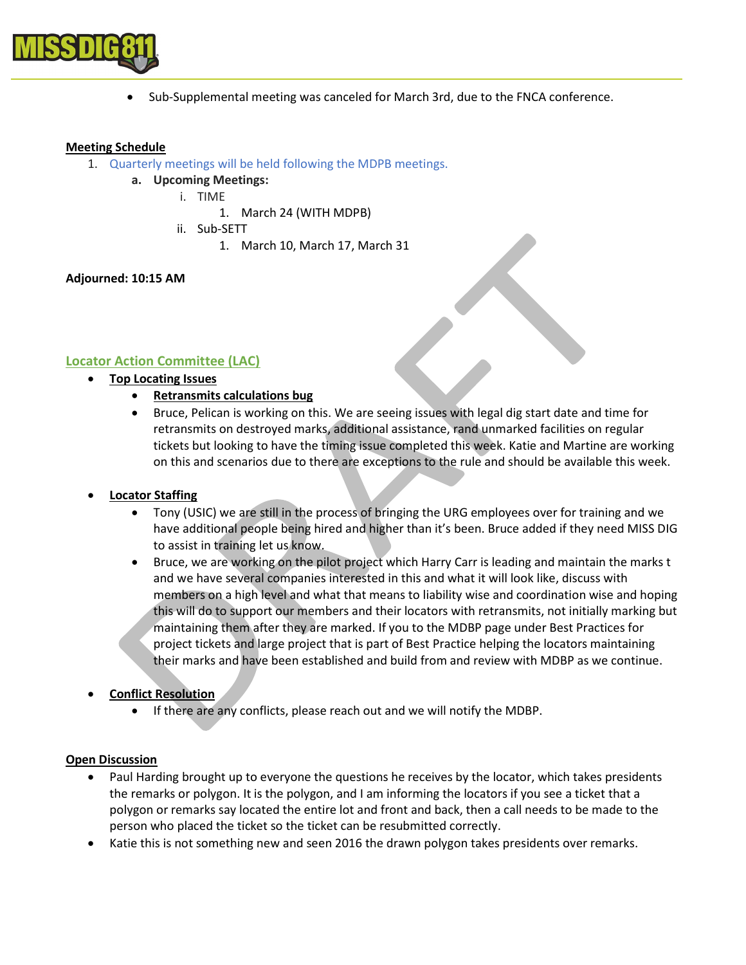

Sub-Supplemental meeting was canceled for March 3rd, due to the FNCA conference.

#### Meeting Schedule

- 1. Quarterly meetings will be held following the MDPB meetings.
	- a. Upcoming Meetings:
		- i. TIME
			- 1. March 24 (WITH MDPB)
		- ii. Sub-SETT
			- 1. March 10, March 17, March 31

## Adjourned: 10:15 AM

# Locator Action Committee (LAC)

- Top Locating Issues
	- Retransmits calculations bug
	- Bruce, Pelican is working on this. We are seeing issues with legal dig start date and time for retransmits on destroyed marks, additional assistance, rand unmarked facilities on regular tickets but looking to have the timing issue completed this week. Katie and Martine are working on this and scenarios due to there are exceptions to the rule and should be available this week.

## Locator Staffing

- Tony (USIC) we are still in the process of bringing the URG employees over for training and we have additional people being hired and higher than it's been. Bruce added if they need MISS DIG to assist in training let us know.
- Bruce, we are working on the pilot project which Harry Carr is leading and maintain the marks t and we have several companies interested in this and what it will look like, discuss with members on a high level and what that means to liability wise and coordination wise and hoping this will do to support our members and their locators with retransmits, not initially marking but maintaining them after they are marked. If you to the MDBP page under Best Practices for project tickets and large project that is part of Best Practice helping the locators maintaining their marks and have been established and build from and review with MDBP as we continue.
- Conflict Resolution
	- If there are any conflicts, please reach out and we will notify the MDBP.

#### Open Discussion

- Paul Harding brought up to everyone the questions he receives by the locator, which takes presidents the remarks or polygon. It is the polygon, and I am informing the locators if you see a ticket that a polygon or remarks say located the entire lot and front and back, then a call needs to be made to the person who placed the ticket so the ticket can be resubmitted correctly.
- Katie this is not something new and seen 2016 the drawn polygon takes presidents over remarks.